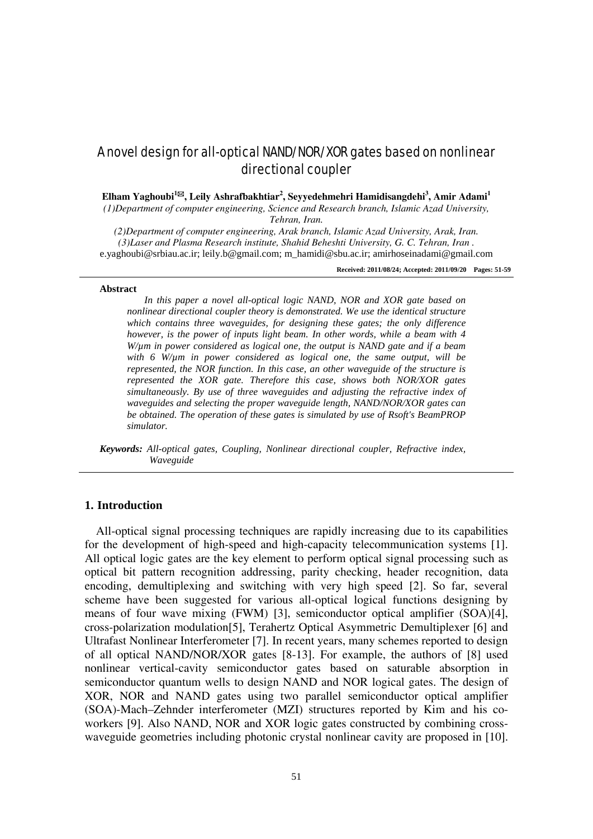# A novel design for all-optical NAND/NOR/XOR gates based on nonlinear directional coupler

**Elham Yaghoubi<sup>1</sup>, Leily Ashrafbakhtiar<sup>2</sup> , Seyyedehmehri Hamidisangdehi<sup>3</sup> , Amir Adami1**

*(1)Department of computer engineering, Science and Research branch, Islamic Azad University, Tehran, Iran.*

*(2)Department of computer engineering, Arak branch, Islamic Azad University, Arak, Iran. (3)Laser and Plasma Research institute, Shahid Beheshti University, G. C. Tehran, Iran .* e.yaghoubi@srbiau.ac.ir; leily.b@gmail.com; m\_hamidi@sbu.ac.ir; amirhoseinadami@gmail.com

**Received: 2011/08/24; Accepted: 2011/09/20 Pages: 51-59**

#### **Abstract**

*In this paper a novel all-optical logic NAND, NOR and XOR gate based on nonlinear directional coupler theory is demonstrated. We use the identical structure which contains three waveguides, for designing these gates; the only difference however, is the power of inputs light beam. In other words, while a beam with 4 W/µm in power considered as logical one, the output is NAND gate and if a beam with 6 W/µm in power considered as logical one, the same output, will be represented, the NOR function. In this case, an other waveguide of the structure is represented the XOR gate. Therefore this case, shows both NOR/XOR gates simultaneously. By use of three waveguides and adjusting the refractive index of waveguides and selecting the proper waveguide length, NAND/NOR/XOR gates can be obtained. The operation of these gates is simulated by use of Rsoft's BeamPROP simulator.*

*Keywords: All-optical gates, Coupling, Nonlinear directional coupler, Refractive index, Waveguide*

### **1. Introduction**

All-optical signal processing techniques are rapidly increasing due to its capabilities for the development of high-speed and high-capacity telecommunication systems [1]. All optical logic gates are the key element to perform optical signal processing such as optical bit pattern recognition addressing, parity checking, header recognition, data encoding, demultiplexing and switching with very high speed [2]. So far, several scheme have been suggested for various all-optical logical functions designing by means of four wave mixing (FWM) [3], semiconductor optical amplifier (SOA)[4], cross-polarization modulation[5], Terahertz Optical Asymmetric Demultiplexer [6] and Ultrafast Nonlinear Interferometer [7]. In recent years, many schemes reported to design of all optical NAND/NOR/XOR gates [8-13]. For example, the authors of [8] used nonlinear vertical-cavity semiconductor gates based on saturable absorption in semiconductor quantum wells to design NAND and NOR logical gates. The design of XOR, NOR and NAND gates using two parallel semiconductor optical amplifier (SOA)-Mach–Zehnder interferometer (MZI) structures reported by Kim and his coworkers [9]. Also NAND, NOR and XOR logic gates constructed by combining crosswaveguide geometries including photonic crystal nonlinear cavity are proposed in [10].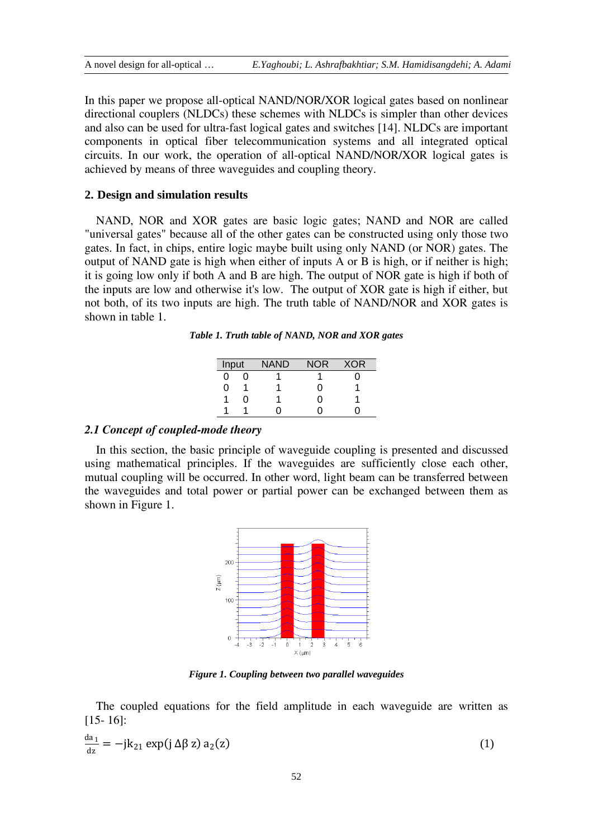In this paper we propose all-optical NAND/NOR/XOR logical gates based on nonlinear directional couplers (NLDCs) these schemes with NLDCs is simpler than other devices and also can be used for ultra-fast logical gates and switches [14]. NLDCs are important components in optical fiber telecommunication systems and all integrated optical circuits. In our work, the operation of all-optical NAND/NOR/XOR logical gates is achieved by means of three waveguides and coupling theory.

### **2. Design and simulation results**

NAND, NOR and XOR gates are basic logic gates; NAND and NOR are called "universal gates" because all of the other gates can be constructed using only those two gates. In fact, in chips, entire logic maybe built using only NAND (or NOR) gates. The output of NAND gate is high when either of inputs A or B is high, or if neither is high; it is going low only if both A and B are high. The output of NOR gate is high if both of the inputs are low and otherwise it's low. The output of XOR gate is high if either, but not both, of its two inputs are high. The truth table of NAND/NOR and XOR gates is shown in table 1.

*Table 1. Truth table of NAND, NOR and XOR gates*

| Input |    | NAND | <b>NOR</b> | XOR |
|-------|----|------|------------|-----|
| 0     |    |      |            |     |
| 0     |    |      | 0          |     |
|       | וו |      | 0          |     |
|       |    |      |            |     |

## *2.1 Concept of coupled-mode theory*

In this section, the basic principle of waveguide coupling is presented and discussed using mathematical principles. If the waveguides are sufficiently close each other, mutual coupling will be occurred. In other word, light beam can be transferred between the waveguides and total power or partial power can be exchanged between them as shown in Figure 1.



*Figure 1. Coupling between two parallel waveguides*

The coupled equations for the field amplitude in each waveguide are written as [15- 16]:

$$
\frac{da_1}{dz} = -jk_{21} \exp(j \Delta \beta z) a_2(z)
$$
 (1)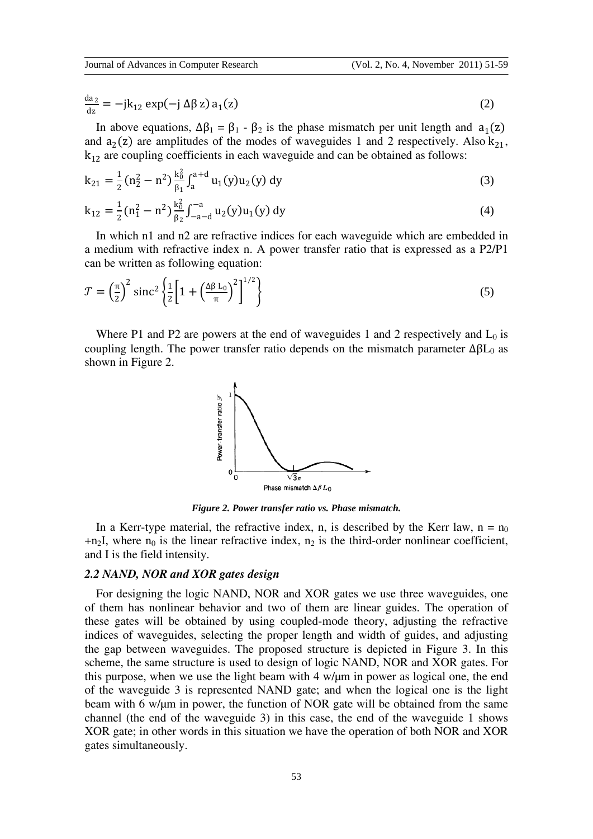$$
\frac{\mathrm{da}_2}{\mathrm{dz}} = -\mathbf{j}k_{12}\exp(-\mathbf{j}\,\Delta\beta\,\mathbf{z})\,\mathbf{a}_1(\mathbf{z})\tag{2}
$$

In above equations,  $Δβ₁ = β₁ - β₂$  is the phase mismatch per unit length and  $a₁(z)$ and  $a_2(z)$  are amplitudes of the modes of waveguides 1 and 2 respectively. Also  $k_{21}$ ,  $k_{12}$  are coupling coefficients in each waveguide and can be obtained as follows:

$$
k_{21} = \frac{1}{2} (n_2^2 - n^2) \frac{k_0^2}{\beta_1} \int_a^{a+d} u_1(y) u_2(y) dy
$$
 (3)

$$
k_{12} = \frac{1}{2} (n_1^2 - n^2) \frac{k_0^2}{\beta_2} \int_{-a-d}^{-a} u_2(y) u_1(y) dy
$$
 (4)

In which n1 and n2 are refractive indices for each waveguide which are embedded in a medium with refractive index n. A power transfer ratio that is expressed as a P2/P1 can be written as following equation:

$$
\mathcal{T} = \left(\frac{\pi}{2}\right)^2 \operatorname{sinc}^2 \left\{\frac{1}{2} \left[1 + \left(\frac{\Delta \beta L_0}{\pi}\right)^2\right]^{1/2}\right\} \tag{5}
$$

Where P1 and P2 are powers at the end of waveguides 1 and 2 respectively and  $L_0$  is coupling length. The power transfer ratio depends on the mismatch parameter  $\Delta \beta L_0$  as shown in Figure 2.



*Figure 2. Power transfer ratio vs. Phase mismatch.*

In a Kerr-type material, the refractive index, n, is described by the Kerr law,  $n = n_0$  $+n_2$ I, where  $n_0$  is the linear refractive index,  $n_2$  is the third-order nonlinear coefficient, and I is the field intensity.

## *2.2 NAND, NOR and XOR gates design*

For designing the logic NAND, NOR and XOR gates we use three waveguides, one of them has nonlinear behavior and two of them are linear guides. The operation of these gates will be obtained by using coupled-mode theory, adjusting the refractive indices of waveguides, selecting the proper length and width of guides, and adjusting the gap between waveguides. The proposed structure is depicted in Figure 3. In this scheme, the same structure is used to design of logic NAND, NOR and XOR gates. For this purpose, when we use the light beam with 4 w/µm in power as logical one, the end of the waveguide 3 is represented NAND gate; and when the logical one is the light beam with 6 w/µm in power, the function of NOR gate will be obtained from the same channel (the end of the waveguide 3) in this case, the end of the waveguide 1 shows XOR gate; in other words in this situation we have the operation of both NOR and XOR gates simultaneously.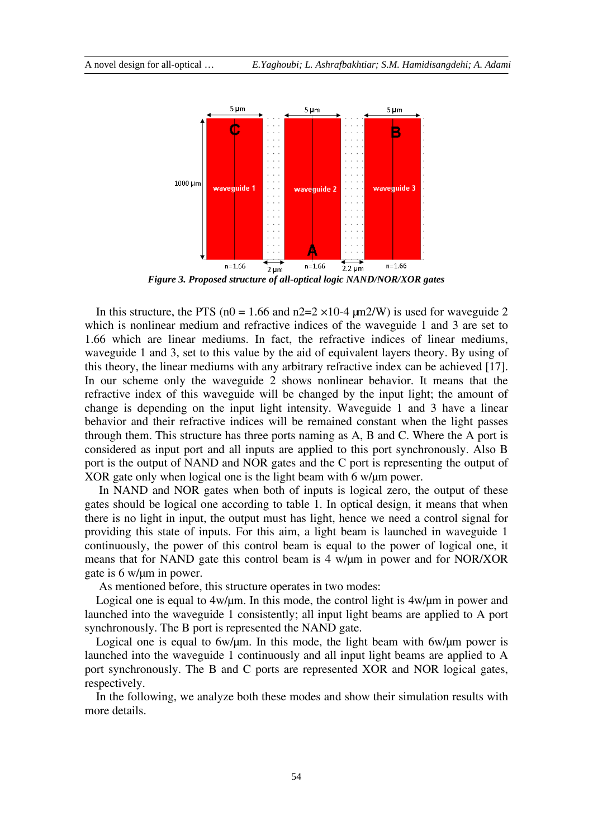

*Figure 3. Proposed structure of all-optical logic NAND/NOR/XOR gates*

In this structure, the PTS ( $n0 = 1.66$  and  $n2=2 \times 10^{-4}$  um2/W) is used for waveguide 2 which is nonlinear medium and refractive indices of the waveguide 1 and 3 are set to 1.66 which are linear mediums. In fact, the refractive indices of linear mediums, waveguide 1 and 3, set to this value by the aid of equivalent layers theory. By using of this theory, the linear mediums with any arbitrary refractive index can be achieved [17]. In our scheme only the waveguide 2 shows nonlinear behavior. It means that the refractive index of this waveguide will be changed by the input light; the amount of change is depending on the input light intensity. Waveguide 1 and 3 have a linear behavior and their refractive indices will be remained constant when the light passes through them. This structure has three ports naming as A, B and C. Where the A port is considered as input port and all inputs are applied to this port synchronously. Also B port is the output of NAND and NOR gates and the C port is representing the output of XOR gate only when logical one is the light beam with 6 w/ $\mu$ m power.

In NAND and NOR gates when both of inputs is logical zero, the output of these gates should be logical one according to table 1. In optical design, it means that when there is no light in input, the output must has light, hence we need a control signal for providing this state of inputs. For this aim, a light beam is launched in waveguide 1 continuously, the power of this control beam is equal to the power of logical one, it means that for NAND gate this control beam is 4 w/µm in power and for NOR/XOR gate is 6 w/µm in power.

As mentioned before, this structure operates in two modes:

Logical one is equal to  $4w/\mu m$ . In this mode, the control light is  $4w/\mu m$  in power and launched into the waveguide 1 consistently; all input light beams are applied to A port synchronously. The B port is represented the NAND gate.

Logical one is equal to  $6w/\mu m$ . In this mode, the light beam with  $6w/\mu m$  power is launched into the waveguide 1 continuously and all input light beams are applied to A port synchronously. The B and C ports are represented XOR and NOR logical gates, respectively.

In the following, we analyze both these modes and show their simulation results with more details.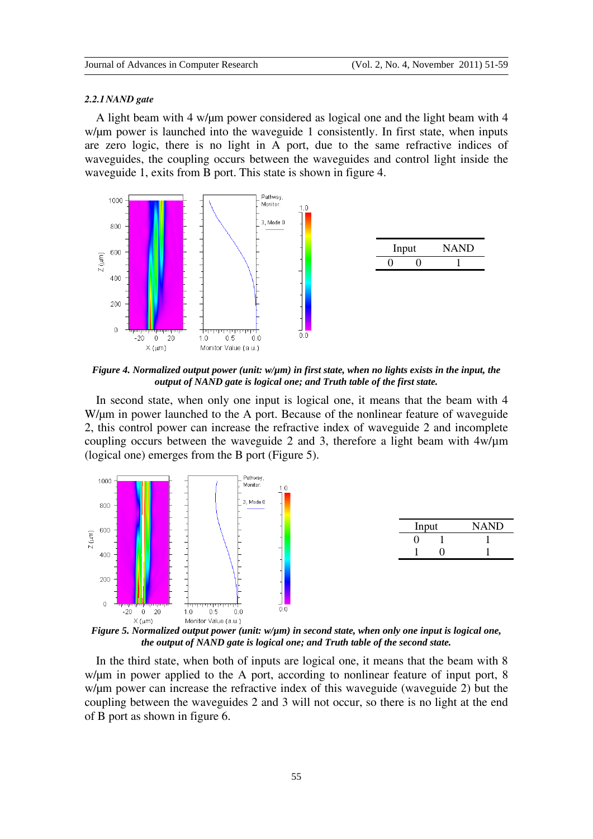#### *2.2.1NAND gate*

A light beam with 4 w/ $\mu$ m power considered as logical one and the light beam with 4 w/ $\mu$ m power is launched into the waveguide 1 consistently. In first state, when inputs are zero logic, there is no light in A port, due to the same refractive indices of waveguides, the coupling occurs between the waveguides and control light inside the waveguide 1, exits from B port. This state is shown in figure 4.



*Figure 4. Normalized output power (unit: w/µm) in first state, when no lights exists in the input, the output of NAND gate is logical one; and Truth table of the first state.*

In second state, when only one input is logical one, it means that the beam with 4 W/ $\mu$ m in power launched to the A port. Because of the nonlinear feature of waveguide 2, this control power can increase the refractive index of waveguide 2 and incomplete coupling occurs between the waveguide 2 and 3, therefore a light beam with 4w/µm (logical one) emerges from the B port (Figure 5).



*Figure 5. Normalized output power (unit: w/µm) in second state, when only one input is logical one, the output of NAND gate is logical one; and Truth table of the second state.*

In the third state, when both of inputs are logical one, it means that the beam with 8 w/um in power applied to the A port, according to nonlinear feature of input port, 8 w/µm power can increase the refractive index of this waveguide (waveguide 2) but the coupling between the waveguides 2 and 3 will not occur, so there is no light at the end of B port as shown in figure 6.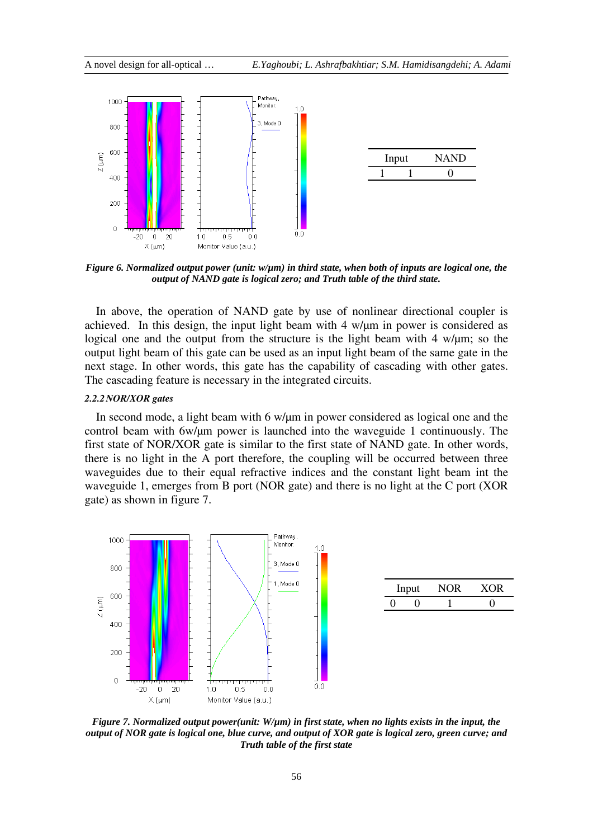

*Figure 6. Normalized output power (unit: w/µm) in third state, when both of inputs are logical one, the output of NAND gate is logical zero; and Truth table of the third state.*

In above, the operation of NAND gate by use of nonlinear directional coupler is achieved. In this design, the input light beam with  $4 \frac{w}{\mu m}$  in power is considered as logical one and the output from the structure is the light beam with 4 w/ $\mu$ m; so the output light beam of this gate can be used as an input light beam of the same gate in the next stage. In other words, this gate has the capability of cascading with other gates. The cascading feature is necessary in the integrated circuits.

### *2.2.2NOR/XOR gates*

In second mode, a light beam with 6 w/ $\mu$ m in power considered as logical one and the control beam with 6w/µm power is launched into the waveguide 1 continuously. The first state of NOR/XOR gate is similar to the first state of NAND gate. In other words, there is no light in the A port therefore, the coupling will be occurred between three waveguides due to their equal refractive indices and the constant light beam int the waveguide 1, emerges from B port (NOR gate) and there is no light at the C port (XOR gate) as shown in figure 7.



*Figure 7. Normalized output power(unit: W/µm) in first state, when no lights exists in the input, the output of NOR gate is logical one, blue curve, and output of XOR gate is logical zero, green curve; and Truth table of the first state*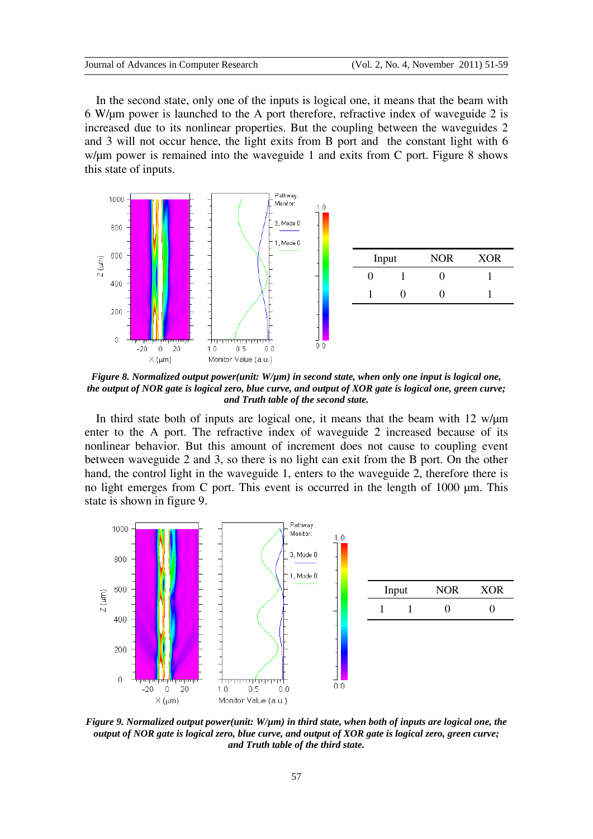In the second state, only one of the inputs is logical one, it means that the beam with 6 W/µm power is launched to the A port therefore, refractive index of waveguide 2 is increased due to its nonlinear properties. But the coupling between the waveguides 2 and 3 will not occur hence, the light exits from B port and the constant light with 6 w/ $\mu$ m power is remained into the waveguide 1 and exits from C port. Figure 8 shows this state of inputs.



*Figure 8. Normalized output power(unit: W/µm) in second state, when only one input is logical one, the output of NOR gate is logical zero, blue curve, and output of XOR gate is logical one, green curve; and Truth table of the second state.*

In third state both of inputs are logical one, it means that the beam with  $12 \text{ w/µm}$ enter to the A port. The refractive index of waveguide 2 increased because of its nonlinear behavior. But this amount of increment does not cause to coupling event between waveguide 2 and 3, so there is no light can exit from the B port. On the other hand, the control light in the waveguide 1, enters to the waveguide 2, therefore there is no light emerges from C port. This event is occurred in the length of 1000 µm. This state is shown in figure 9.



*Figure 9. Normalized output power(unit: W/µm) in third state, when both of inputs are logical one, the output of NOR gate is logical zero, blue curve, and output of XOR gate is logical zero, green curve; and Truth table of the third state.*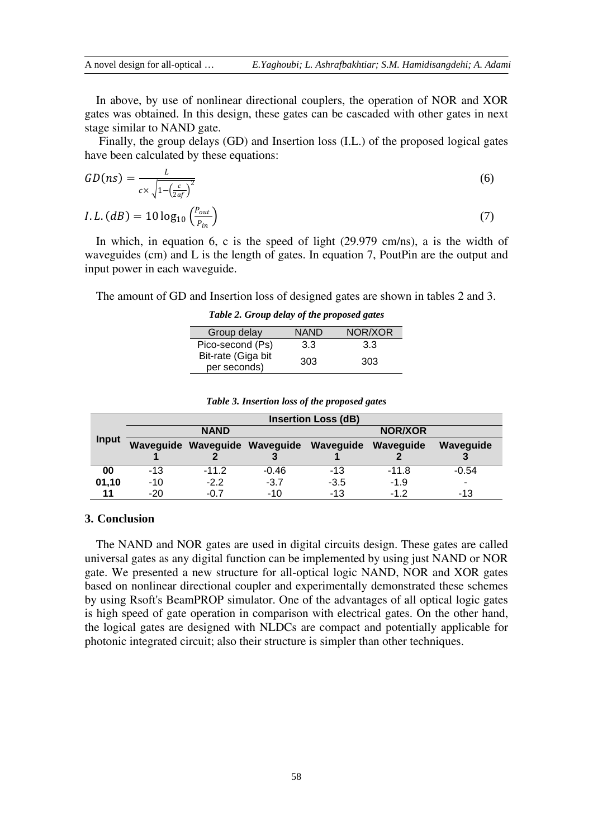In above, by use of nonlinear directional couplers, the operation of NOR and XOR gates was obtained. In this design, these gates can be cascaded with other gates in next stage similar to NAND gate.

Finally, the group delays (GD) and Insertion loss (I.L.) of the proposed logical gates have been calculated by these equations:

$$
GD(ns) = \frac{L}{c \times \sqrt{1 - \left(\frac{c}{2af}\right)^2}}
$$
  
*I.L.* 
$$
(dB) = 10 \log_{10} \left(\frac{P_{out}}{P_{in}}\right)
$$
 (7)

 $P_i$ In which, in equation 6, c is the speed of light (29.979 cm/ns), a is the width of waveguides (cm) and L is the length of gates. In equation 7, PoutPin are the output and input power in each waveguide.

The amount of GD and Insertion loss of designed gates are shown in tables 2 and 3.

*Table 2. Group delay of the proposed gates*

| Group delay                        | <b>NAND</b> | NOR/XOR |  |
|------------------------------------|-------------|---------|--|
| Pico-second (Ps)                   | 3.3         | 3.3     |  |
| Bit-rate (Giga bit<br>per seconds) | 303         | 303     |  |

|       | <b>Insertion Loss (dB)</b> |         |         |                                                   |         |           |  |  |
|-------|----------------------------|---------|---------|---------------------------------------------------|---------|-----------|--|--|
| Input | <b>NAND</b>                |         |         | <b>NOR/XOR</b>                                    |         |           |  |  |
|       |                            |         |         | Waveguide Waveguide Waveguide Waveguide Waveguide |         | Wavequide |  |  |
|       |                            |         |         |                                                   |         |           |  |  |
| 00    | $-13$                      | $-11.2$ | $-0.46$ | $-13$                                             | $-11.8$ | $-0.54$   |  |  |
| 01,10 | $-10$                      | $-2.2$  | $-3.7$  | $-3.5$                                            | $-1.9$  | -         |  |  |
| 11    | $-20$                      | $-0.7$  | $-10$   | $-13$                                             | $-1.2$  | -13       |  |  |

### *Table 3. Insertion loss of the proposed gates*

# **3. Conclusion**

The NAND and NOR gates are used in digital circuits design. These gates are called universal gates as any digital function can be implemented by using just NAND or NOR gate. We presented a new structure for all-optical logic NAND, NOR and XOR gates based on nonlinear directional coupler and experimentally demonstrated these schemes by using Rsoft's BeamPROP simulator. One of the advantages of all optical logic gates is high speed of gate operation in comparison with electrical gates. On the other hand, the logical gates are designed with NLDCs are compact and potentially applicable for photonic integrated circuit; also their structure is simpler than other techniques.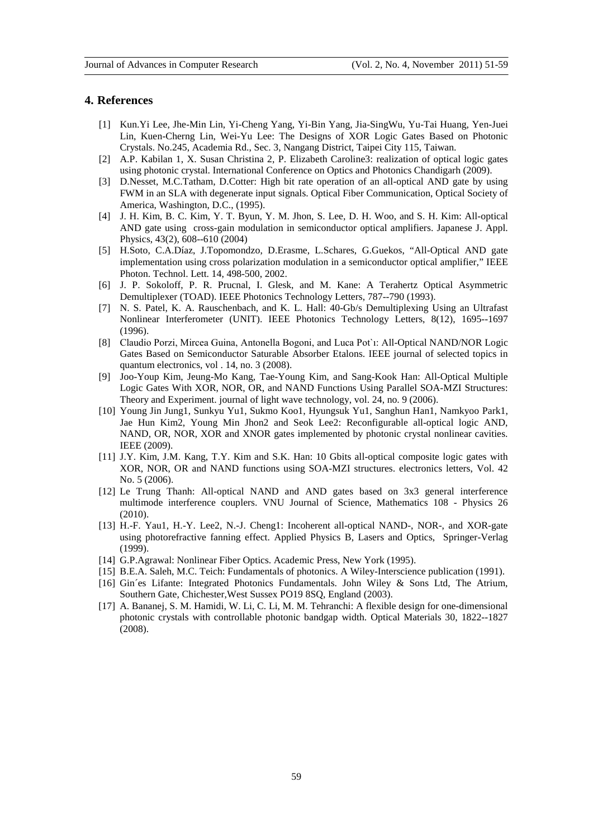#### **4. References**

- [1] Kun.Yi Lee, Jhe-Min Lin, Yi-Cheng Yang, Yi-Bin Yang, Jia-SingWu, Yu-Tai Huang, Yen-Juei Lin, Kuen-Cherng Lin, Wei-Yu Lee: The Designs of XOR Logic Gates Based on Photonic Crystals. No.245, Academia Rd., Sec. 3, Nangang District, Taipei City 115, Taiwan.
- [2] A.P. Kabilan 1, X. Susan Christina 2, P. Elizabeth Caroline3: realization of optical logic gates using photonic crystal. International Conference on Optics and Photonics Chandigarh (2009).
- [3] D.Nesset, M.C.Tatham, D.Cotter: High bit rate operation of an all-optical AND gate by using FWM in an SLA with degenerate input signals. Optical Fiber Communication, Optical Society of America, Washington, D.C., (1995).
- [4] J. H. Kim, B. C. Kim, Y. T. Byun, Y. M. Jhon, S. Lee, D. H. Woo, and S. H. Kim: All-optical AND gate using cross-gain modulation in semiconductor optical amplifiers. Japanese J. Appl. Physics, 43(2), 608--610 (2004)
- [5] H.Soto, C.A.Díaz, J.Topomondzo, D.Erasme, L.Schares, G.Guekos, "All-Optical AND gate implementation using cross polarization modulation in a semiconductor optical amplifier," IEEE Photon. Technol. Lett. 14, 498-500, 2002.
- [6] J. P. Sokoloff, P. R. Prucnal, I. Glesk, and M. Kane: A Terahertz Optical Asymmetric Demultiplexer (TOAD). IEEE Photonics Technology Letters, 787--790 (1993).
- [7] N. S. Patel, K. A. Rauschenbach, and K. L. Hall: 40-Gb/s Demultiplexing Using an Ultrafast Nonlinear Interferometer (UNIT). IEEE Photonics Technology Letters, 8(12), 1695--1697 (1996).
- [8] Claudio Porzi, Mircea Guina, Antonella Bogoni, and Luca Pot`ı: All-Optical NAND/NOR Logic Gates Based on Semiconductor Saturable Absorber Etalons. IEEE journal of selected topics in quantum electronics, vol . 14, no. 3 (2008).
- [9] Joo-Youp Kim, Jeung-Mo Kang, Tae-Young Kim, and Sang-Kook Han: All-Optical Multiple Logic Gates With XOR, NOR, OR, and NAND Functions Using Parallel SOA-MZI Structures: Theory and Experiment. journal of light wave technology, vol. 24, no. 9 (2006).
- [10] Young Jin Jung1, Sunkyu Yu1, Sukmo Koo1, Hyungsuk Yu1, Sanghun Han1, Namkyoo Park1, Jae Hun Kim2, Young Min Jhon2 and Seok Lee2: Reconfigurable all-optical logic AND, NAND, OR, NOR, XOR and XNOR gates implemented by photonic crystal nonlinear cavities. IEEE (2009).
- [11] J.Y. Kim, J.M. Kang, T.Y. Kim and S.K. Han: 10 Gbits all-optical composite logic gates with XOR, NOR, OR and NAND functions using SOA-MZI structures. electronics letters, Vol. 42 No. 5 (2006).
- [12] Le Trung Thanh: All-optical NAND and AND gates based on 3x3 general interference multimode interference couplers. VNU Journal of Science, Mathematics 108 - Physics 26 (2010).
- [13] H.-F. Yau1, H.-Y. Lee2, N.-J. Cheng1: Incoherent all-optical NAND-, NOR-, and XOR-gate using photorefractive fanning effect. Applied Physics B, Lasers and Optics, Springer-Verlag (1999).
- [14] G.P.Agrawal: Nonlinear Fiber Optics. Academic Press, New York (1995).
- [15] B.E.A. Saleh, M.C. Teich: Fundamentals of photonics. A Wiley-Interscience publication (1991). [16] Gin´es Lifante: Integrated Photonics Fundamentals. John Wiley & Sons Ltd, The Atrium,
- Southern Gate, Chichester,West Sussex PO19 8SQ, England (2003).
- [17] A. Bananej, S. M. Hamidi, W. Li, C. Li, M. M. Tehranchi: A flexible design for one-dimensional photonic crystals with controllable photonic bandgap width. Optical Materials 30, 1822--1827 (2008).